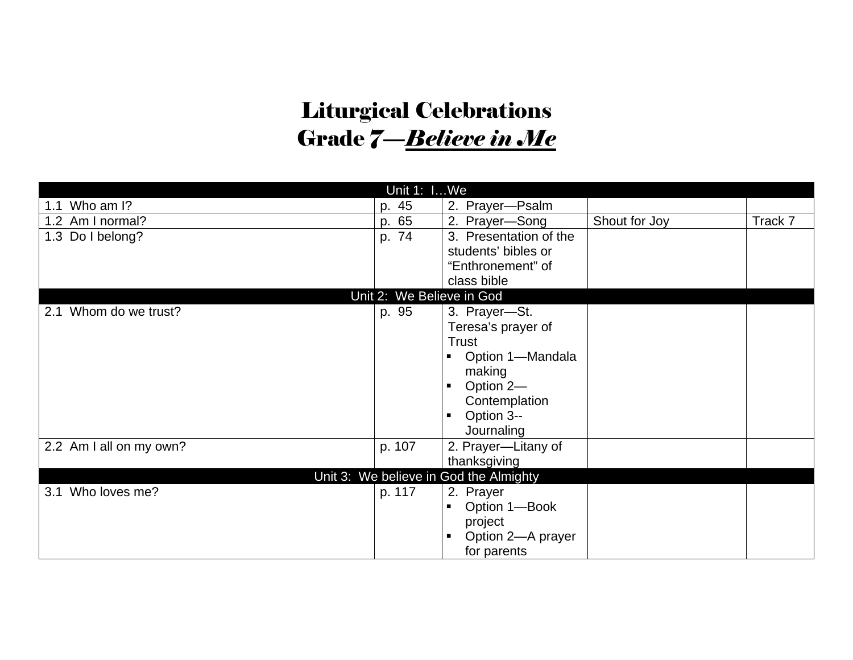## Liturgical Celebrations Grade 7—*Believe in Me*

| Unit 1: IWe                            |                           |                              |               |         |  |
|----------------------------------------|---------------------------|------------------------------|---------------|---------|--|
| Who am I?<br>1.1                       | p. 45                     | 2. Prayer-Psalm              |               |         |  |
| 1.2 Am I normal?                       | p. 65                     | 2. Prayer-Song               | Shout for Joy | Track 7 |  |
| 1.3 Do I belong?                       | p. 74                     | 3. Presentation of the       |               |         |  |
|                                        |                           | students' bibles or          |               |         |  |
|                                        |                           | "Enthronement" of            |               |         |  |
|                                        |                           | class bible                  |               |         |  |
|                                        | Unit 2: We Believe in God |                              |               |         |  |
| 2.1 Whom do we trust?                  | p. 95                     | 3. Prayer-St.                |               |         |  |
|                                        |                           | Teresa's prayer of           |               |         |  |
|                                        |                           | Trust                        |               |         |  |
|                                        |                           | Option 1-Mandala<br>п        |               |         |  |
|                                        |                           | making                       |               |         |  |
|                                        |                           | Option 2-<br>$\blacksquare$  |               |         |  |
|                                        |                           | Contemplation                |               |         |  |
|                                        |                           | Option 3--<br>$\blacksquare$ |               |         |  |
|                                        |                           | Journaling                   |               |         |  |
| 2.2 Am I all on my own?                | p. 107                    | 2. Prayer-Litany of          |               |         |  |
|                                        |                           | thanksgiving                 |               |         |  |
| Unit 3: We believe in God the Almighty |                           |                              |               |         |  |
| 3.1 Who loves me?                      | p. 117                    | 2. Prayer                    |               |         |  |
|                                        |                           | Option 1-Book<br>п           |               |         |  |
|                                        |                           | project                      |               |         |  |
|                                        |                           | Option 2-A prayer<br>п       |               |         |  |
|                                        |                           | for parents                  |               |         |  |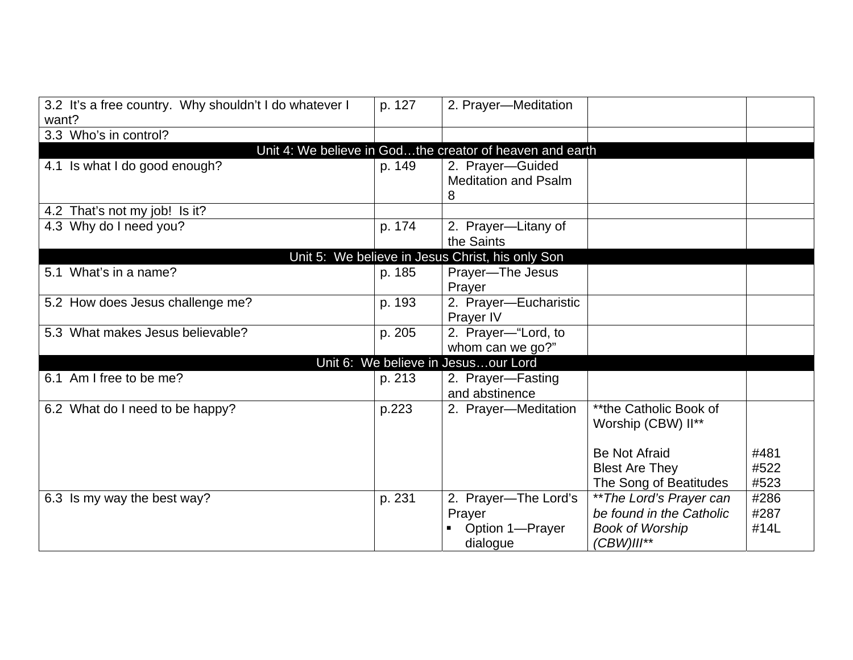| 3.2 It's a free country. Why shouldn't I do whatever I | p. 127 | 2. Prayer-Meditation                                     |                          |      |  |
|--------------------------------------------------------|--------|----------------------------------------------------------|--------------------------|------|--|
| want?                                                  |        |                                                          |                          |      |  |
| 3.3 Who's in control?                                  |        |                                                          |                          |      |  |
|                                                        |        | Unit 4: We believe in Godthe creator of heaven and earth |                          |      |  |
| 4.1 Is what I do good enough?                          | p. 149 | 2. Prayer-Guided                                         |                          |      |  |
|                                                        |        | <b>Meditation and Psalm</b>                              |                          |      |  |
|                                                        |        | 8                                                        |                          |      |  |
| 4.2 That's not my job! Is it?                          |        |                                                          |                          |      |  |
| 4.3 Why do I need you?                                 | p. 174 | 2. Prayer-Litany of                                      |                          |      |  |
|                                                        |        | the Saints                                               |                          |      |  |
|                                                        |        | Unit 5: We believe in Jesus Christ, his only Son         |                          |      |  |
| 5.1 What's in a name?                                  | p. 185 | Prayer-The Jesus                                         |                          |      |  |
|                                                        |        | Prayer                                                   |                          |      |  |
| 5.2 How does Jesus challenge me?                       | p. 193 | 2. Prayer-Eucharistic                                    |                          |      |  |
|                                                        |        | Prayer IV                                                |                          |      |  |
| 5.3 What makes Jesus believable?                       | p. 205 | 2. Prayer-"Lord, to                                      |                          |      |  |
|                                                        |        | whom can we go?"                                         |                          |      |  |
| Unit 6: We believe in Jesusour Lord                    |        |                                                          |                          |      |  |
| 6.1 Am I free to be me?                                | p. 213 | 2. Prayer-Fasting                                        |                          |      |  |
|                                                        |        | and abstinence                                           |                          |      |  |
| 6.2 What do I need to be happy?                        | p.223  | 2. Prayer-Meditation                                     | **the Catholic Book of   |      |  |
|                                                        |        |                                                          | Worship (CBW) II**       |      |  |
|                                                        |        |                                                          |                          |      |  |
|                                                        |        |                                                          | <b>Be Not Afraid</b>     | #481 |  |
|                                                        |        |                                                          | <b>Blest Are They</b>    | #522 |  |
|                                                        |        |                                                          | The Song of Beatitudes   | #523 |  |
|                                                        |        |                                                          |                          | #286 |  |
| 6.3 Is my way the best way?                            | p. 231 | 2. Prayer-The Lord's                                     | ** The Lord's Prayer can | #287 |  |
|                                                        |        | Prayer                                                   | be found in the Catholic |      |  |
|                                                        |        | Option 1-Prayer                                          | <b>Book of Worship</b>   | #14L |  |
|                                                        |        | dialogue                                                 | (CBW)III**               |      |  |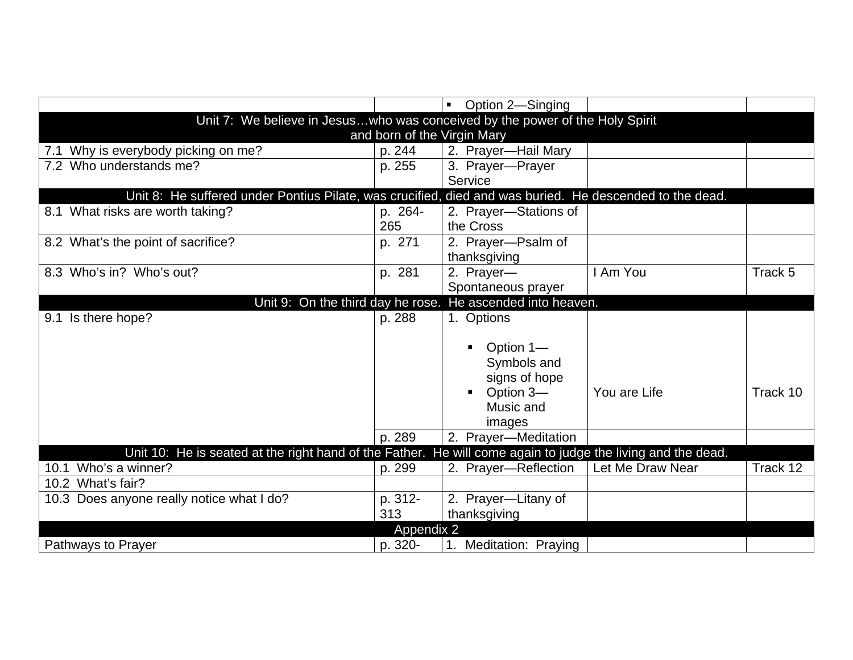|                                                                                                             |         | Option 2-Singing<br>$\blacksquare$                         |                  |          |  |
|-------------------------------------------------------------------------------------------------------------|---------|------------------------------------------------------------|------------------|----------|--|
| Unit 7: We believe in Jesuswho was conceived by the power of the Holy Spirit                                |         |                                                            |                  |          |  |
|                                                                                                             |         | and born of the Virgin Mary                                |                  |          |  |
| 7.1 Why is everybody picking on me?                                                                         | p. 244  | 2. Prayer-Hail Mary                                        |                  |          |  |
| 7.2 Who understands me?                                                                                     | p. 255  | 3. Prayer-Prayer                                           |                  |          |  |
|                                                                                                             |         | Service                                                    |                  |          |  |
| Unit 8: He suffered under Pontius Pilate, was crucified, died and was buried. He descended to the dead.     |         |                                                            |                  |          |  |
| 8.1 What risks are worth taking?                                                                            | p. 264- | 2. Prayer-Stations of                                      |                  |          |  |
|                                                                                                             | 265     | the Cross                                                  |                  |          |  |
| 8.2 What's the point of sacrifice?                                                                          | p. 271  | 2. Prayer-Psalm of                                         |                  |          |  |
|                                                                                                             |         | thanksgiving                                               |                  |          |  |
| 8.3 Who's in? Who's out?                                                                                    | p. 281  | 2. Prayer-                                                 | I Am You         | Track 5  |  |
|                                                                                                             |         | Spontaneous prayer                                         |                  |          |  |
|                                                                                                             |         | Unit 9: On the third day he rose. He ascended into heaven. |                  |          |  |
| Is there hope?<br>9.1                                                                                       | p. 288  | 1. Options                                                 |                  |          |  |
|                                                                                                             |         | Option 1-                                                  |                  |          |  |
|                                                                                                             |         | Symbols and                                                |                  |          |  |
|                                                                                                             |         | signs of hope                                              |                  |          |  |
|                                                                                                             |         | Option 3-<br>п                                             | You are Life     | Track 10 |  |
|                                                                                                             |         | Music and                                                  |                  |          |  |
|                                                                                                             |         | images                                                     |                  |          |  |
|                                                                                                             | p. 289  | 2. Prayer-Meditation                                       |                  |          |  |
| Unit 10: He is seated at the right hand of the Father. He will come again to judge the living and the dead. |         |                                                            |                  |          |  |
| 10.1 Who's a winner?                                                                                        | p. 299  | 2. Prayer-Reflection                                       | Let Me Draw Near | Track 12 |  |
| 10.2 What's fair?                                                                                           |         |                                                            |                  |          |  |
| 10.3 Does anyone really notice what I do?                                                                   | p. 312- | 2. Prayer-Litany of                                        |                  |          |  |
|                                                                                                             | 313     | thanksgiving                                               |                  |          |  |
| Appendix 2                                                                                                  |         |                                                            |                  |          |  |
| Pathways to Prayer                                                                                          | p. 320- | <b>Meditation: Praying</b>                                 |                  |          |  |